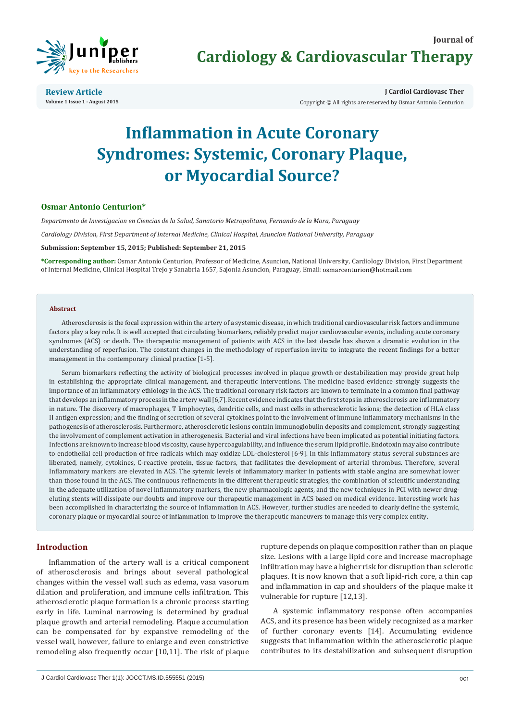

**Review Article Volume 1 Issue 1 - August 2015** **J Cardiol Cardiovasc Ther**

Copyright © All rights are reserved by Osmar Antonio Centurion

# **Inflammation in Acute Coronary Syndromes: Systemic, Coronary Plaque, or Myocardial Source?**

## **Osmar Antonio Centurion\***

*Departmento de Investigacion en Ciencias de la Salud, Sanatorio Metropolitano, Fernando de la Mora, Paraguay*

*Cardiology Division, First Department of Internal Medicine, Clinical Hospital, Asuncion National University, Paraguay*

**Submission: September 15, 2015; Published: September 21, 2015**

**\*Corresponding author:** Osmar Antonio Centurion, Professor of Medicine, Asuncion, National University, Cardiology Division, First Department of Internal Medicine, Clinical Hospital Trejo y Sanabria 1657, Sajonia Asuncion, Paraguay, Email:

#### **Abstract**

Atherosclerosis is the focal expression within the artery of a systemic disease, in which traditional cardiovascular risk factors and immune factors play a key role. It is well accepted that circulating biomarkers, reliably predict major cardiovascular events, including acute coronary syndromes (ACS) or death. The therapeutic management of patients with ACS in the last decade has shown a dramatic evolution in the understanding of reperfusion. The constant changes in the methodology of reperfusion invite to integrate the recent findings for a better management in the contemporary clinical practice [1-5].

Serum biomarkers reflecting the activity of biological processes involved in plaque growth or destabilization may provide great help in establishing the appropriate clinical management, and therapeutic interventions. The medicine based evidence strongly suggests the importance of an inflammatory ethiology in the ACS. The traditional coronary risk factors are known to terminate in a common final pathway that develops an inflammatory process in the artery wall [6,7]. Recent evidence indicates that the first steps in atherosclerosis are inflammatory in nature. The discovery of macrophages, T limphocytes, dendritic cells, and mast cells in atherosclerotic lesions; the detection of HLA class II antigen expression; and the finding of secretion of several cytokines point to the involvement of immune inflammatory mechanisms in the pathogenesis of atherosclerosis. Furthermore, atherosclerotic lesions contain immunoglobulin deposits and complement, strongly suggesting the involvement of complement activation in atherogenesis. Bacterial and viral infections have been implicated as potential initiating factors. Infections are known to increase blood viscosity, cause hypercoagulability, and influence the serum lipid profile. Endotoxin may also contribute to endothelial cell production of free radicals which may oxidize LDL-cholesterol [6-9]. In this inflammatory status several substances are liberated, namely, cytokines, C-reactive protein, tissue factors, that facilitates the development of arterial thrombus. Therefore, several Inflammatory markers are elevated in ACS. The sytemic levels of inflammatory marker in patients with stable angina are somewhat lower than those found in the ACS. The continuous refinements in the different therapeutic strategies, the combination of scientific understanding in the adequate utilization of novel inflammatory markers, the new pharmacologic agents, and the new techniques in PCI with newer drugeluting stents will dissipate our doubts and improve our therapeutic management in ACS based on medical evidence. Interesting work has been accomplished in characterizing the source of inflammation in ACS. However, further studies are needed to clearly define the systemic, coronary plaque or myocardial source of inflammation to improve the therapeutic maneuvers to manage this very complex entity.

## **Introduction**

Inflammation of the artery wall is a critical component of atherosclerosis and brings about several pathological changes within the vessel wall such as edema, vasa vasorum dilation and proliferation, and immune cells infiltration. This atherosclerotic plaque formation is a chronic process starting early in life. Luminal narrowing is determined by gradual plaque growth and arterial remodeling. Plaque accumulation can be compensated for by expansive remodeling of the vessel wall, however, failure to enlarge and even constrictive remodeling also frequently occur [10,11]. The risk of plaque

rupture depends on plaque composition rather than on plaque size. Lesions with a large lipid core and increase macrophage infiltration may have a higher risk for disruption than sclerotic plaques. It is now known that a soft lipid-rich core, a thin cap and inflammation in cap and shoulders of the plaque make it vulnerable for rupture [12,13].

A systemic inflammatory response often accompanies ACS, and its presence has been widely recognized as a marker of further coronary events [14]. Accumulating evidence suggests that inflammation within the atherosclerotic plaque contributes to its destabilization and subsequent disruption

J Cardiol Cardiovasc Ther 1(1): JOCCT.MS.ID.555551 (2015) 001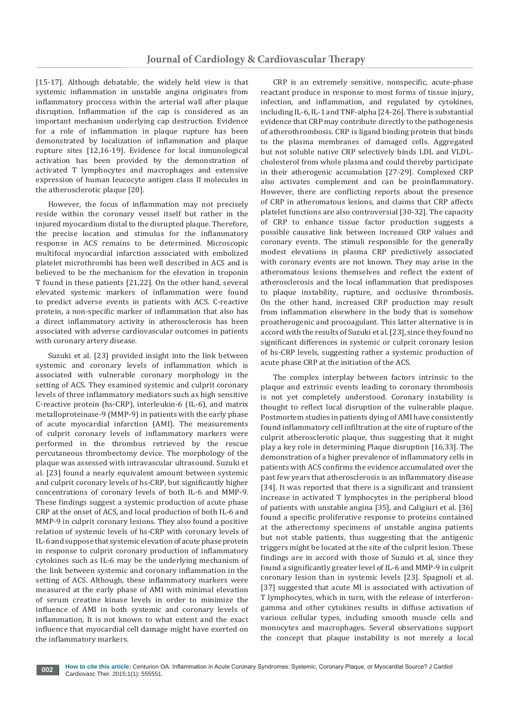[15-17]. Although debatable, the widely held view is that systemic inflammation in unstable angina originates from inflammatory proccess within the arterial wall after plaque disruption. Inflammation of the cap is considered as an important mechanism underlying cap destruction. Evidence for a role of inflammation in plaque rupture has been demonstrated by localization of inflammation and plaque rupture sites [12,16-19]. Evidence for local inmunological activation has been provided by the demonstration of activated T lymphocytes and macrophages and extensive expression of human leucocyte antigen class II molecules in the atherosclerotic plaque [20].

However, the focus of inflammation may not precisely reside within the coronary vessel itself but rather in the injured myocardium distal to the disrupted plaque. Therefore, the precise location and stimulus for the inflammatory response in ACS remains to be determined. Microscopic multifocal myocardial infarction associated with embolized platelet microthrombi has been well described in ACS and is believed to be the mechanism for the elevation in troponin T found in these patients [21,22]. On the other hand, several elevated systemic markers of inflammation were found to predict adverse events in patients with ACS. C-reactive protein, a non-specific marker of inflammation that also has a direct inflammatory activity in atherosclerosis has been associated with adverse cardiovascular outcomes in patients with coronary artery disease.

Suzuki et al. [23] provided insight into the link between systemic and coronary levels of inflammation which is associated with vulnerable coronary morphology in the setting of ACS. They examined systemic and culprit coronary levels of three inflammatory mediators such as high sensitive C-reactive protein (hs-CRP), interleukin-6 (IL-6), and matrix metalloproteinase-9 (MMP-9) in patients with the early phase of acute myocardial infarction (AMI). The measurements of culprit coronary levels of inflammatory markers were performed in the thrombus retrieved by the rescue percutaneous thrombectomy device. The morphology of the plaque was assessed with intravascular ultrasound. Suzuki et al. [23] found a nearly equivalent amount between systemic and culprit coronary levels of hs-CRP, but significantly higher concentrations of coronary levels of both IL-6 and MMP-9. These findings suggest a systemic production of acute phase CRP at the onset of ACS, and local production of both IL-6 and MMP-9 in culprit coronary lesions. They also found a positive relation of systemic levels of hs-CRP with coronary levels of IL-6 and suppose that systemic elevation of acute phase protein in response to culprit coronary production of inflammatory cytokines such as IL-6 may be the underlying mechanism of the link between systemic and coronary inflammation in the setting of ACS. Although, these inflammatory markers were measured at the early phase of AMI with minimal elevation of serum creatine kinase levels in order to minimize the influence of AMI in both systemic and coronary levels of inflammation, It is not known to what extent and the exact influence that myocardial cell damage might have exerted on the inflammatory markers.

CRP is an extremely sensitive, nonspecific, acute-phase reactant produce in response to most forms of tissue injury, infection, and inflammation, and regulated by cytokines, including IL-6, IL-1 and TNF-alpha [24-26]. There is substantial evidence that CRP may contribute directly to the pathogenesis of atherothrombosis. CRP is ligand binding protein that binds to the plasma membranes of damaged cells. Aggregated but not soluble native CRP selectively binds LDL and VLDLcholesterol from whole plasma and could thereby participate in their atherogenic accumulation [27-29]. Complexed CRP also activates complement and can be proinflammatory. However, there are conflicting reports about the presence of CRP in atheromatous lesions, and claims that CRP affects platelet functions are also controversial [30-32]. The capacity of CRP to enhance tissue factor production suggests a possible causative link between increased CRP values and coronary events. The stimuli responsible for the generally modest elevations in plasma CRP predictively associated with coronary events are not known. They may arise in the atheromatous lesions themselves and reflect the extent of atherosclerosis and the local inflammation that predisposes to plaque instability, rupture, and occlusive thrombosis. On the other hand, increased CRP production may result from inflammation elsewhere in the body that is somehow proatherogenic and procoagulant. This latter alternative is in accord with the results of Suzuki et al. [23], since they found no significant differences in systemic or culprit coronary lesion of hs-CRP levels, suggesting rather a systemic production of acute phase CRP at the initiation of the ACS.

The complex interplay between factors intrinsic to the plaque and extrinsic events leading to coronary thrombosis is not yet completely understood. Coronary instability is thought to reflect local disruption of the vulnerable plaque. Postmortem studies in patients dying of AMI have consistently found inflammatory cell infiltration at the site of rupture of the culprit atherosclerotic plaque, thus suggesting that it might play a key role in determining Plaque disruption [16,33]. The demonstration of a higher prevalence of inflammatory cells in patients with ACS confirms the evidence accumulated over the past few years that atherosclerosis is an inflammatory disease [34]. It was reported that there is a significant and transient increase in activated T lymphocytes in the peripheral blood of patients with unstable angina [35], and Caligiuri et al. [36] found a specific proliferative response to proteins contained at the atherectomy specimens of unstable angina patients but not stable patients, thus suggesting that the antigenic triggers might be located at the site of the culprit lesion. These findings are in accord with those of Suzuki et al, since they found a significantly greater level of IL-6 and MMP-9 in culprit coronary lesion than in systemic levels [23]. Spagnoli et al. [37] suggested that acute MI is associated with activation of T lymphocytes, which in turn, with the release of interferongamma and other cytokines results in diffuse activation of various cellular types, including smooth muscle cells and monocytes and macrophages. Several observations support the concept that plaque instability is not merely a local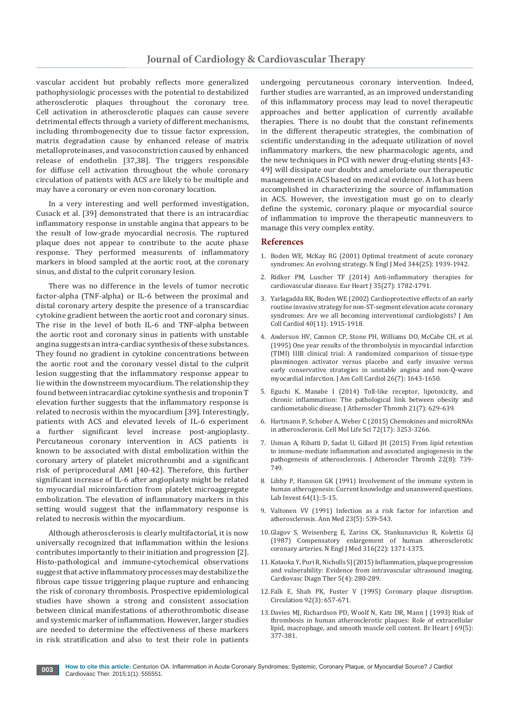vascular accident but probably reflects more generalized pathophysiologic processes with the potential to destabilized atherosclerotic plaques throughout the coronary tree. Cell activation in atherosclerotic plaques can cause severe detrimental effects through a variety of different mechanisms, including thrombogenecity due to tissue factor expression, matrix degradation cause by enhanced release of matrix metalloproteinases, and vasoconstriction caused by enhanced release of endothelin [37,38]. The triggers responsible for diffuse cell activation throughout the whole coronary circulation of patients with ACS are likely to be multiple and may have a coronary or even non-coronary location.

In a very interesting and well performed investigation, Cusack et al. [39] demonstrated that there is an intracardiac inflammatory response in unstable angina that appears to be the result of low-grade myocardial necrosis. The ruptured plaque does not appear to contribute to the acute phase response. They performed measurents of inflammatory markers in blood sampled at the aortic root, at the coronary sinus, and distal to the culprit coronary lesion.

There was no difference in the levels of tumor necrotic factor-alpha (TNF-alpha) or IL-6 between the proximal and distal coronary artery despite the presence of a transcardiac cytokine gradient between the aortic root and coronary sinus. The rise in the level of both IL-6 and TNF-alpha between the aortic root and coronary sinus in patients with unstable angina suggests an intra-cardiac synthesis of these substances. They found no gradient in cytokine concentrations between the aortic root and the coronary vessel distal to the culprit lesion suggesting that the inflammatory response appear to lie within the downstreem myocardium. The relationship they found between intracardiac cytokine synthesis and troponin T elevation further suggests that the inflammatory response is related to necrosis within the myocardium [39]. Interestingly, patients with ACS and elevated levels of IL-6 experiment a further significant level increase post-angioplasty. Percutaneous coronary intervention in ACS patients is known to be associated with distal embolization within the coronary artery of platelet microthrombi and a significant risk of periprocedural AMI [40-42]. Therefore, this further significant increase of IL-6 after angioplasty might be related to myocardial microinfarction from platelet microaggregate embolization. The elevation of inflammatory markers in this setting would suggest that the inflammatory response is related to necrosis within the myocardium.

Although atherosclerosis is clearly multifactorial, it is now universally recognized that inflammation within the lesions contributes importantly to their initiation and progression [2]. Histo-pathological and immune-cytochemical observations suggest that active inflammatory processes may destabilize the fibrous cape tissue triggering plaque rupture and enhancing the risk of coronary thrombosis. Prospective epidemiological studies have shown a strong and consistent association between clinical manifestations of atherothrombotic disease and systemic marker of inflammation. However, larger studies are needed to determine the effectiveness of these markers in risk stratification and also to test their role in patients undergoing percutaneous coronary intervention. Indeed, further studies are warranted, as an improved understanding of this inflammatory process may lead to novel therapeutic approaches and better application of currently available therapies. There is no doubt that the constant refinements in the different therapeutic strategies, the combination of scientific understanding in the adequate utilization of novel inflammatory markers, the new pharmacologic agents, and the new techniques in PCI with newer drug-eluting stents [43- 49] will dissipate our doubts and ameloriate our therapeutic management in ACS based on medical evidence. A lot has been accomplished in characterizing the source of inflammation in ACS. However, the investigation must go on to clearly define the systemic, coronary plaque or myocardial source of inflammation to improve the therapeutic manneuvers to manage this very complex entity.

### **References**

- 1. Bode[n WE, McKay RG \(2001\) Optimal treatment of acute coronary](http://www.ncbi.nlm.nih.gov/pubmed/11419433)  [syndromes: An evolving strategy. N Engl J Med 344\(25\): 1939-1942.](http://www.ncbi.nlm.nih.gov/pubmed/11419433)
- 2. [Ridker PM, Luscher TF \(2014\) Anti-inflammatory therapies for](http://www.ncbi.nlm.nih.gov/pubmed/24864079)  [cardiovascular disease. Eur Heart J 35\(27\): 1782-1791.](http://www.ncbi.nlm.nih.gov/pubmed/24864079)
- 3. [Yarlagadda RK, Boden WE \(2002\) Cardioprotective effects of an early](http://www.ncbi.nlm.nih.gov/pubmed/12475449)  [routine invasive strategy for non-ST-segment elevation acute coronary](http://www.ncbi.nlm.nih.gov/pubmed/12475449)  [syndromes: Are we all becoming interventional cardiologists? J Am](http://www.ncbi.nlm.nih.gov/pubmed/12475449)  [Coll Cardiol 40\(11\): 1915-1918.](http://www.ncbi.nlm.nih.gov/pubmed/12475449)
- 4. [Anderson HV, Cannon CP, Stone PH, Williams DO, McCabe CH, et al.](http://www.ncbi.nlm.nih.gov/pubmed/7594098)  [\(1995\) One year results of the thrombolysis in myocardial infarction](http://www.ncbi.nlm.nih.gov/pubmed/7594098)  [\(TIMI\) IIIB clinical trial: A randomized comparison of tissue-type](http://www.ncbi.nlm.nih.gov/pubmed/7594098)  [plasminogen activator versus placebo and early invasive versus](http://www.ncbi.nlm.nih.gov/pubmed/7594098)  [early conservative strategies in unstable angina and non-Q-wave](http://www.ncbi.nlm.nih.gov/pubmed/7594098)  [myocardial infarction. J Am Coll Cardiol 26\(7\): 1643-1650.](http://www.ncbi.nlm.nih.gov/pubmed/7594098)
- 5. [Eguchi K, Manabe I \(2014\) Toll-like receptor, lipotoxicity, and](http://www.ncbi.nlm.nih.gov/pubmed/24695021)  [chronic inflammation: The pathological link between obesity and](http://www.ncbi.nlm.nih.gov/pubmed/24695021)  [cardiometabolic disease. J Atheroscler Thromb 21\(7\): 629-639.](http://www.ncbi.nlm.nih.gov/pubmed/24695021)
- 6. [Hartmann P, Schober A, Weber C \(2015\) Chemokines and microRNAs](http://www.ncbi.nlm.nih.gov/pubmed/26001902)  [in atherosclerosis. Cell Mol Life Sci 72\(17\): 3253-3266.](http://www.ncbi.nlm.nih.gov/pubmed/26001902)
- 7. [Usman A, Ribatti D, Sadat U, Gillard JH \(2015\) From lipid retention](http://www.ncbi.nlm.nih.gov/pubmed/26156748)  [to immune-mediate inflammation and associated angiogenesis in the](http://www.ncbi.nlm.nih.gov/pubmed/26156748)  [pathogenesis of atherosclerosis. J Atheroscler Thromb 22\(8\): 739-](http://www.ncbi.nlm.nih.gov/pubmed/26156748) [749.](http://www.ncbi.nlm.nih.gov/pubmed/26156748)
- 8. [Libby P, Hansson GK \(1991\) Involvement of the immune system in](http://www.ncbi.nlm.nih.gov/pubmed/1990208)  [human atherogenesis: Current knowledge and unanswered questions.](http://www.ncbi.nlm.nih.gov/pubmed/1990208)  [Lab Invest 64\(1\): 5-15.](http://www.ncbi.nlm.nih.gov/pubmed/1990208)
- 9. [Valtonen VV \(1991\) Infection as a risk factor for infarction and](http://www.ncbi.nlm.nih.gov/pubmed/1756023)  [atherosclerosis. Ann Med 23\(5\): 539-543.](http://www.ncbi.nlm.nih.gov/pubmed/1756023)
- 10.[Glagov S, Weisenberg E, Zarins CK, Stankunavicius R, Kolettis GJ](http://www.ncbi.nlm.nih.gov/pubmed/3574413)  [\(1987\) Compensatory enlargement of human atherosclerotic](http://www.ncbi.nlm.nih.gov/pubmed/3574413)  [coronary arteries. N Engl J Med 316\(22\): 1371-1375.](http://www.ncbi.nlm.nih.gov/pubmed/3574413)
- 11.[Kataoka Y, Puri R, Nicholls SJ \(2015\) Inflammation, plaque progression](http://www.ncbi.nlm.nih.gov/pubmed/26331112)  [and vulnerability: Evidence from intravascular ultrasound imaging.](http://www.ncbi.nlm.nih.gov/pubmed/26331112)  [Cardiovasc Diagn Ther 5\(4\): 280-289.](http://www.ncbi.nlm.nih.gov/pubmed/26331112)
- 12.[Falk E, Shah PK, Fuster V \(1995\) Coronary plaque disruption.](http://www.ncbi.nlm.nih.gov/pubmed/7634481)  [Circulation 92\(3\): 657-671.](http://www.ncbi.nlm.nih.gov/pubmed/7634481)
- 13.[Davies MJ, Richardson PD, Woolf N, Katz DR, Mann J \(1993\) Risk of](http://www.ncbi.nlm.nih.gov/pubmed/8518056)  [thrombosis in human atherosclerotic plaques: Role of extracellular](http://www.ncbi.nlm.nih.gov/pubmed/8518056)  [lipid, macrophage, and smooth muscle cell content. Br Heart J 69\(5\):](http://www.ncbi.nlm.nih.gov/pubmed/8518056)  [377-381.](http://www.ncbi.nlm.nih.gov/pubmed/8518056)